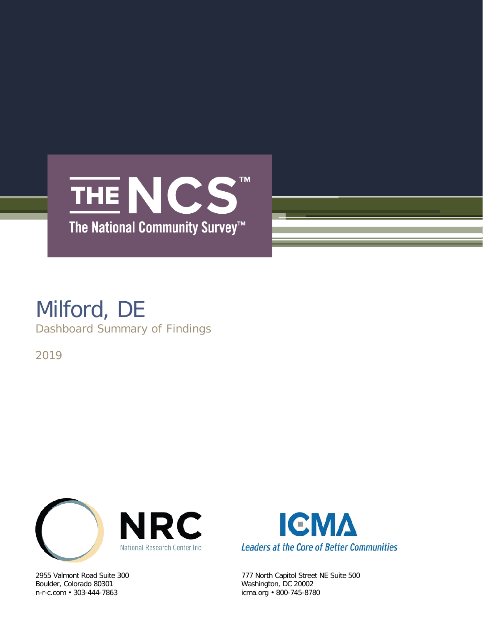

## Milford, DE Dashboard Summary of Findings

2019



Boulder, Colorado 80301 Washington, DC 20002



2955 Valmont Road Suite 300 777 North Capitol Street NE Suite 500 icma.org • 800-745-8780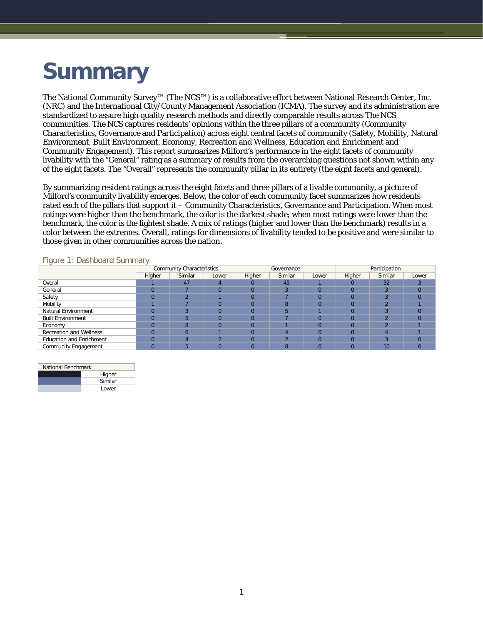# **Summary**

The National Community Survey™ (The NCS™) is a collaborative effort between National Research Center, Inc. (NRC) and the International City/County Management Association (ICMA). The survey and its administration are standardized to assure high quality research methods and directly comparable results across The NCS communities. The NCS captures residents' opinions within the three pillars of a community (Community Characteristics, Governance and Participation) across eight central facets of community (Safety, Mobility, Natural Environment, Built Environment, Economy, Recreation and Wellness, Education and Enrichment and Community Engagement). This report summarizes Milford's performance in the eight facets of community livability with the "General" rating as a summary of results from the overarching questions not shown within any of the eight facets. The "Overall" represents the community pillar in its entirety (the eight facets and general).

By summarizing resident ratings across the eight facets and three pillars of a livable community, a picture of Milford's community livability emerges. Below, the color of each community facet summarizes how residents rated each of the pillars that support it – Community Characteristics, Governance and Participation. When most ratings were higher than the benchmark, the color is the darkest shade; when most ratings were lower than the benchmark, the color is the lightest shade. A mix of ratings (higher and lower than the benchmark) results in a color between the extremes. Overall, ratings for dimensions of livability tended to be positive and were similar to those given in other communities across the nation.

|  |  | Figure 1: Dashboard Summary |  |
|--|--|-----------------------------|--|
|--|--|-----------------------------|--|

| $\overline{\phantom{a}}$        |        | <b>Community Characteristics</b> |       |        | Governance |       | Participation |                          |       |  |
|---------------------------------|--------|----------------------------------|-------|--------|------------|-------|---------------|--------------------------|-------|--|
|                                 | Higher | Similar                          | Lower | Higher | Similar    | Lower | Higher        | Similar                  | Lower |  |
| Overall                         |        | 47                               |       |        | 45         |       |               | 32                       |       |  |
| General                         |        |                                  |       |        |            |       |               |                          |       |  |
| Safety                          |        |                                  |       |        |            |       |               |                          |       |  |
| Mobility                        |        |                                  |       |        |            |       |               |                          |       |  |
| Natural Environment             |        |                                  |       |        |            |       |               |                          |       |  |
| <b>Built Environment</b>        |        |                                  |       | O      |            |       |               |                          |       |  |
| Economy                         |        |                                  |       |        |            |       |               | $\overline{\phantom{a}}$ |       |  |
| Recreation and Wellness         |        |                                  |       |        |            |       |               |                          |       |  |
| <b>Education and Enrichment</b> |        |                                  | ົ     |        |            |       |               | $\sqrt{2}$               |       |  |
| Community Engagement            |        |                                  |       |        | Я          |       |               | 10                       |       |  |

| National Benchmark |         |  |  |  |  |  |  |
|--------------------|---------|--|--|--|--|--|--|
|                    | Higher  |  |  |  |  |  |  |
|                    | Similar |  |  |  |  |  |  |
|                    | Lower   |  |  |  |  |  |  |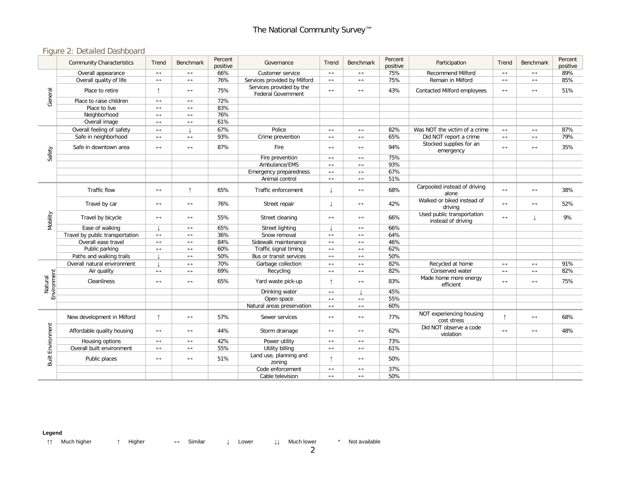### Figure 2: Detailed Dashboard

|                          | <b>Community Characteristics</b> | Trend                 | <b>Benchmark</b>      | Percent<br>positive | Governance                                            | Trend                 | <b>Benchmark</b>      | Percent<br>positive | Participation                                    | Trend                 | Benchmark             | Percent<br>positive |
|--------------------------|----------------------------------|-----------------------|-----------------------|---------------------|-------------------------------------------------------|-----------------------|-----------------------|---------------------|--------------------------------------------------|-----------------------|-----------------------|---------------------|
|                          | Overall appearance               | $\leftrightarrow$     | $\leftrightarrow$     | 66%                 | Customer service                                      | $\leftrightarrow$     | $\leftrightarrow$     | 75%                 | <b>Recommend Milford</b>                         | $\leftrightarrow$     | $\leftrightarrow$     | 89%                 |
| General                  | Overall quality of life          | $\longleftrightarrow$ | $\leftrightarrow$     | 76%                 | Services provided by Milford                          | $\leftrightarrow$     | $\leftrightarrow$     | 75%                 | Remain in Milford                                | $\leftrightarrow$     | $\leftrightarrow$     | 85%                 |
|                          | Place to retire                  | ↑                     | $\longleftrightarrow$ | 75%                 | Services provided by the<br><b>Federal Government</b> | $\leftrightarrow$     | $\leftrightarrow$     | 43%                 | Contacted Milford employees                      | $\leftrightarrow$     | $\longleftrightarrow$ | 51%                 |
|                          | Place to raise children          | $\leftrightarrow$     | $\longleftrightarrow$ | 72%                 |                                                       |                       |                       |                     |                                                  |                       |                       |                     |
|                          | Place to live                    | $\leftrightarrow$     | $\leftrightarrow$     | 83%                 |                                                       |                       |                       |                     |                                                  |                       |                       |                     |
|                          | Neighborhood                     | $\leftrightarrow$     | $\leftrightarrow$     | 76%                 |                                                       |                       |                       |                     |                                                  |                       |                       |                     |
|                          | Overall image                    | $\leftrightarrow$     | $\leftrightarrow$     | 61%                 |                                                       |                       |                       |                     |                                                  |                       |                       |                     |
|                          | Overall feeling of safety        | $\leftrightarrow$     |                       | 67%                 | Police                                                | $\longleftrightarrow$ | $\leftrightarrow$     | 82%                 | Was NOT the victim of a crime                    | $\leftrightarrow$     | $\leftrightarrow$     | 87%                 |
|                          | Safe in neighborhood             | $\leftrightarrow$     | $\leftrightarrow$     | 93%                 | Crime prevention                                      | $\leftrightarrow$     | $\leftrightarrow$     | 65%                 | Did NOT report a crime                           | $\leftrightarrow$     | $\leftrightarrow$     | 79%                 |
|                          | Safe in downtown area            | $\longleftrightarrow$ | $\leftrightarrow$     | 87%                 | Fire                                                  | $\leftrightarrow$     | $\longleftrightarrow$ | 94%                 | Stocked supplies for an<br>emergency             | $\leftrightarrow$     | $\longleftrightarrow$ | 35%                 |
| Safety                   |                                  |                       |                       |                     | Fire prevention                                       | $\longleftrightarrow$ | $\leftrightarrow$     | 75%                 |                                                  |                       |                       |                     |
|                          |                                  |                       |                       |                     | Ambulance/EMS                                         | $\leftrightarrow$     | $\leftrightarrow$     | 93%                 |                                                  |                       |                       |                     |
|                          |                                  |                       |                       |                     | Emergency preparedness                                | $\leftrightarrow$     | $\leftrightarrow$     | 67%                 |                                                  |                       |                       |                     |
|                          |                                  |                       |                       |                     | Animal control                                        | $\longleftrightarrow$ | $\leftrightarrow$     | 51%                 |                                                  |                       |                       |                     |
| Mobility                 | Traffic flow                     | $\leftrightarrow$     | $\uparrow$            | 65%                 | Traffic enforcement                                   |                       | $\leftrightarrow$     | 68%                 | Carpooled instead of driving<br>alone            | $\leftrightarrow$     | $\leftrightarrow$     | 38%                 |
|                          | Travel by car                    | $\longleftrightarrow$ | $\longleftrightarrow$ | 76%                 | Street repair                                         | T                     | $\longleftrightarrow$ | 42%                 | Walked or biked instead of<br>driving            | $\leftrightarrow$     | $\longleftrightarrow$ | 52%                 |
|                          | Travel by bicycle                | $\longleftrightarrow$ | $\longleftrightarrow$ | 55%                 | Street cleaning                                       | $\longleftrightarrow$ | $\longleftrightarrow$ | 66%                 | Used public transportation<br>instead of driving | $\leftrightarrow$     | T                     | 9%                  |
|                          | Ease of walking                  |                       | $\leftrightarrow$     | 65%                 | Street lighting                                       |                       | $\leftrightarrow$     | 66%                 |                                                  |                       |                       |                     |
|                          | Travel by public transportation  | $\leftrightarrow$     | $\longleftrightarrow$ | 36%                 | Snow removal                                          | $\leftrightarrow$     | $\leftrightarrow$     | 64%                 |                                                  |                       |                       |                     |
|                          | Overall ease travel              | $\leftrightarrow$     | $\leftrightarrow$     | 84%                 | Sidewalk maintenance                                  | $\leftrightarrow$     | $\leftrightarrow$     | 46%                 |                                                  |                       |                       |                     |
|                          | Public parking                   | $\longleftrightarrow$ | $\longleftrightarrow$ | 60%                 | Traffic signal timing                                 | $\leftrightarrow$     | $\leftrightarrow$     | 62%                 |                                                  |                       |                       |                     |
|                          | Paths and walking trails         |                       | $\leftrightarrow$     | 50%                 | Bus or transit services                               | $\leftrightarrow$     | $\leftrightarrow$     | 50%                 |                                                  |                       |                       |                     |
|                          | Overall natural environment      |                       | $\leftrightarrow$     | 70%                 | Garbage collection                                    | $\leftrightarrow$     | $\leftrightarrow$     | 82%                 | Recycled at home                                 | $\longleftrightarrow$ | $\longleftrightarrow$ | 91%                 |
|                          | Air quality                      | $\longleftrightarrow$ | $\leftrightarrow$     | 69%                 | Recycling                                             | $\leftrightarrow$     | $\leftrightarrow$     | 82%                 | Conserved water                                  | $\longleftrightarrow$ | $\leftrightarrow$     | 82%                 |
| Environment<br>Natural   | Cleanliness                      | $\leftrightarrow$     | $\longleftrightarrow$ | 65%                 | Yard waste pick-up                                    | ↑                     | $\leftrightarrow$     | 83%                 | Made home more energy<br>efficient               | $\leftrightarrow$     | $\longleftrightarrow$ | 75%                 |
|                          |                                  |                       |                       |                     | Drinking water                                        | $\leftrightarrow$     |                       | 45%                 |                                                  |                       |                       |                     |
|                          |                                  |                       |                       |                     | Open space                                            | $\leftrightarrow$     | $\longleftrightarrow$ | 55%                 |                                                  |                       |                       |                     |
|                          |                                  |                       |                       |                     | Natural areas preservation                            | $\leftrightarrow$     | $\leftrightarrow$     | 60%                 |                                                  |                       |                       |                     |
|                          | New development in Milford       | $\uparrow$            | $\longleftrightarrow$ | 57%                 | Sewer services                                        | $\longleftrightarrow$ | $\leftrightarrow$     | 77%                 | NOT experiencing housing<br>cost stress          |                       | $\longleftrightarrow$ | 68%                 |
|                          | Affordable quality housing       | $\longleftrightarrow$ | $\longleftrightarrow$ | 44%                 | Storm drainage                                        | $\longleftrightarrow$ | $\longleftrightarrow$ | 62%                 | Did NOT observe a code<br>violation              | $\leftrightarrow$     | $\longleftrightarrow$ | 48%                 |
|                          | Housing options                  | $\leftrightarrow$     | $\leftrightarrow$     | 42%                 | Power utility                                         | $\leftrightarrow$     | $\leftrightarrow$     | 73%                 |                                                  |                       |                       |                     |
|                          | Overall built environment        | $\leftrightarrow$     | $\leftrightarrow$     | 55%                 | Utility billing                                       | $\leftrightarrow$     | $\leftrightarrow$     | 61%                 |                                                  |                       |                       |                     |
| <b>Built Environment</b> | Public places                    | $\longleftrightarrow$ | $\longleftrightarrow$ | 51%                 | Land use, planning and<br>zoning                      |                       | $\longleftrightarrow$ | 50%                 |                                                  |                       |                       |                     |
|                          |                                  |                       |                       |                     | Code enforcement                                      | $\leftrightarrow$     | $\leftrightarrow$     | 37%                 |                                                  |                       |                       |                     |
|                          |                                  |                       |                       |                     | Cable television                                      | $\leftrightarrow$     | $\leftrightarrow$     | 50%                 |                                                  |                       |                       |                     |

**Legend**

↑↑ Much higher ↑ Higher ↔ Similar ↓ Lower ↓↓ Much lower \* Not available